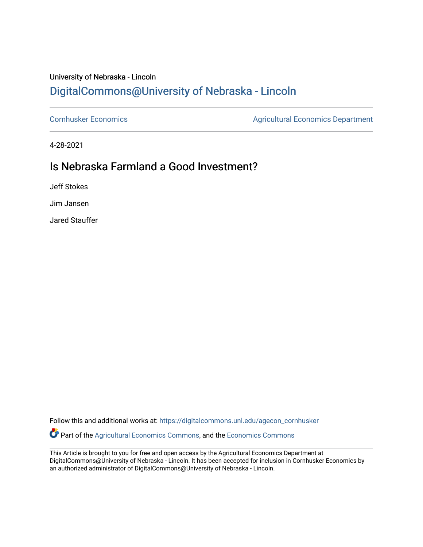### University of Nebraska - Lincoln [DigitalCommons@University of Nebraska - Lincoln](https://digitalcommons.unl.edu/)

[Cornhusker Economics](https://digitalcommons.unl.edu/agecon_cornhusker) **Agricultural Economics** Department

4-28-2021

## Is Nebraska Farmland a Good Investment?

Jeff Stokes

Jim Jansen

Jared Stauffer

Follow this and additional works at: [https://digitalcommons.unl.edu/agecon\\_cornhusker](https://digitalcommons.unl.edu/agecon_cornhusker?utm_source=digitalcommons.unl.edu%2Fagecon_cornhusker%2F1102&utm_medium=PDF&utm_campaign=PDFCoverPages) 

Part of the [Agricultural Economics Commons,](http://network.bepress.com/hgg/discipline/1225?utm_source=digitalcommons.unl.edu%2Fagecon_cornhusker%2F1102&utm_medium=PDF&utm_campaign=PDFCoverPages) and the [Economics Commons](http://network.bepress.com/hgg/discipline/340?utm_source=digitalcommons.unl.edu%2Fagecon_cornhusker%2F1102&utm_medium=PDF&utm_campaign=PDFCoverPages) 

This Article is brought to you for free and open access by the Agricultural Economics Department at DigitalCommons@University of Nebraska - Lincoln. It has been accepted for inclusion in Cornhusker Economics by an authorized administrator of DigitalCommons@University of Nebraska - Lincoln.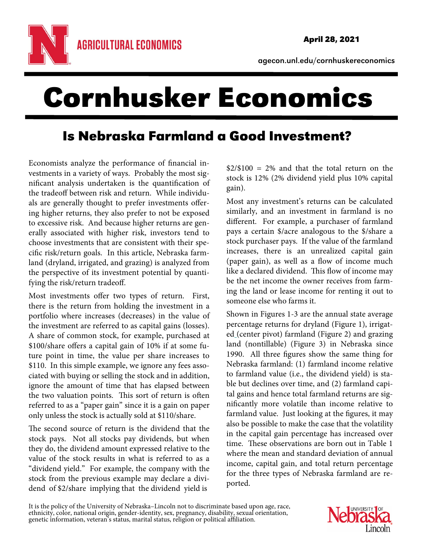agecon.unl.edu/cornhuskereconomics

# Cornhusker Economics

# Is Nebraska Farmland a Good Investment?

Economists analyze the performance of financial investments in a variety of ways. Probably the most significant analysis undertaken is the quantification of the tradeoff between risk and return. While individuals are generally thought to prefer investments offering higher returns, they also prefer to not be exposed to excessive risk. And because higher returns are generally associated with higher risk, investors tend to choose investments that are consistent with their specific risk/return goals. In this article, Nebraska farmland (dryland, irrigated, and grazing) is analyzed from the perspective of its investment potential by quantifying the risk/return tradeoff.

Most investments offer two types of return. First, there is the return from holding the investment in a portfolio where increases (decreases) in the value of the investment are referred to as capital gains (losses). A share of common stock, for example, purchased at \$100/share offers a capital gain of 10% if at some future point in time, the value per share increases to \$110. In this simple example, we ignore any fees associated with buying or selling the stock and in addition, ignore the amount of time that has elapsed between the two valuation points. This sort of return is often referred to as a "paper gain" since it is a gain on paper only unless the stock is actually sold at \$110/share.

The second source of return is the dividend that the stock pays. Not all stocks pay dividends, but when they do, the dividend amount expressed relative to the value of the stock results in what is referred to as a "dividend yield." For example, the company with the stock from the previous example may declare a dividend of \$2/share implying that the dividend yield is

 $$2/$100 = 2\%$  and that the total return on the stock is 12% (2% dividend yield plus 10% capital gain).

Most any investment's returns can be calculated similarly, and an investment in farmland is no different. For example, a purchaser of farmland pays a certain \$/acre analogous to the \$/share a stock purchaser pays. If the value of the farmland increases, there is an unrealized capital gain (paper gain), as well as a flow of income much like a declared dividend. This flow of income may be the net income the owner receives from farming the land or lease income for renting it out to someone else who farms it.

Shown in Figures 1-3 are the annual state average percentage returns for dryland (Figure 1), irrigated (center pivot) farmland (Figure 2) and grazing land (nontillable) (Figure 3) in Nebraska since 1990. All three figures show the same thing for Nebraska farmland: (1) farmland income relative to farmland value (i.e., the dividend yield) is stable but declines over time, and (2) farmland capital gains and hence total farmland returns are significantly more volatile than income relative to farmland value. Just looking at the figures, it may also be possible to make the case that the volatility in the capital gain percentage has increased over time. These observations are born out in Table 1 where the mean and standard deviation of annual income, capital gain, and total return percentage for the three types of Nebraska farmland are reported.

It is the policy of the University of Nebraska–Lincoln not to discriminate based upon age, race, ethnicity, color, national origin, gender-identity, sex, pregnancy, disability, sexual orientation, genetic information, veteran's status, marital status, religion or political affiliation.

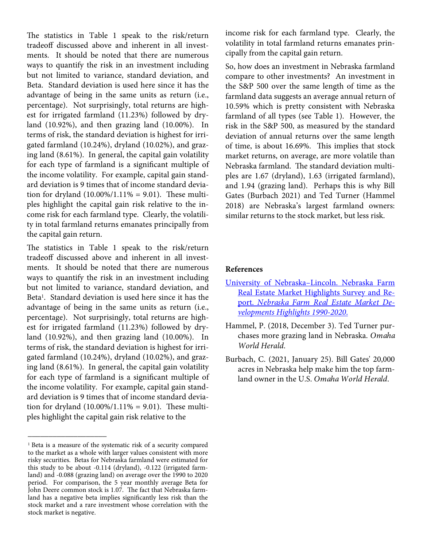The statistics in Table 1 speak to the risk/return tradeoff discussed above and inherent in all investments. It should be noted that there are numerous ways to quantify the risk in an investment including but not limited to variance, standard deviation, and Beta. Standard deviation is used here since it has the advantage of being in the same units as return (i.e., percentage). Not surprisingly, total returns are highest for irrigated farmland (11.23%) followed by dryland (10.92%), and then grazing land (10.00%). In terms of risk, the standard deviation is highest for irrigated farmland (10.24%), dryland (10.02%), and grazing land (8.61%). In general, the capital gain volatility for each type of farmland is a significant multiple of the income volatility. For example, capital gain standard deviation is 9 times that of income standard deviation for dryland  $(10.00\%/1.11\% = 9.01)$ . These multiples highlight the capital gain risk relative to the income risk for each farmland type. Clearly, the volatility in total farmland returns emanates principally from the capital gain return.

The statistics in Table 1 speak to the risk/return tradeoff discussed above and inherent in all investments. It should be noted that there are numerous ways to quantify the risk in an investment including but not limited to variance, standard deviation, and Beta1. Standard deviation is used here since it has the advantage of being in the same units as return (i.e., percentage). Not surprisingly, total returns are highest for irrigated farmland (11.23%) followed by dryland (10.92%), and then grazing land (10.00%). In terms of risk, the standard deviation is highest for irrigated farmland (10.24%), dryland (10.02%), and grazing land (8.61%). In general, the capital gain volatility for each type of farmland is a significant multiple of the income volatility. For example, capital gain standard deviation is 9 times that of income standard deviation for dryland  $(10.00\%/1.11\% = 9.01)$ . These multiples highlight the capital gain risk relative to the

\_\_\_\_\_\_\_\_\_\_\_\_\_\_\_\_\_\_\_

income risk for each farmland type. Clearly, the volatility in total farmland returns emanates principally from the capital gain return.

So, how does an investment in Nebraska farmland compare to other investments? An investment in the S&P 500 over the same length of time as the farmland data suggests an average annual return of 10.59% which is pretty consistent with Nebraska farmland of all types (see Table 1). However, the risk in the S&P 500, as measured by the standard deviation of annual returns over the same length of time, is about 16.69%. This implies that stock market returns, on average, are more volatile than Nebraska farmland. The standard deviation multiples are 1.67 (dryland), 1.63 (irrigated farmland), and 1.94 (grazing land). Perhaps this is why Bill Gates (Burbach 2021) and Ted Turner (Hammel 2018) are Nebraska's largest farmland owners: similar returns to the stock market, but less risk.

#### **References**

- University of Nebraska–Lincoln. Nebraska Farm Real Estate Market Highlights Survey and Report. Nebraska Farm Real Estate Market Developments Highlights 1990-2020.
- Hammel, P. (2018, December 3). Ted Turner purchases more grazing land in Nebraska. Omaha World Herald.
- Burbach, C. (2021, January 25). Bill Gates' 20,000 acres in Nebraska help make him the top farmland owner in the U.S. Omaha World Herald.

<sup>1</sup> Beta is a measure of the systematic risk of a security compared to the market as a whole with larger values consistent with more risky securities. Betas for Nebraska farmland were estimated for this study to be about -0.114 (dryland), -0.122 (irrigated farmland) and -0.088 (grazing land) on average over the 1990 to 2020 period. For comparison, the 5 year monthly average Beta for John Deere common stock is 1.07. The fact that Nebraska farmland has a negative beta implies significantly less risk than the stock market and a rare investment whose correlation with the stock market is negative.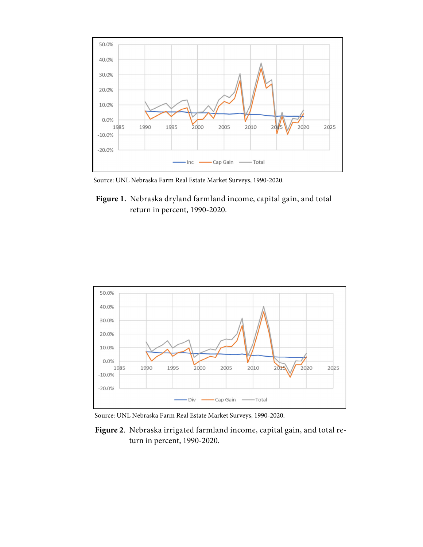

Source: UNL Nebraska Farm Real Estate Market Surveys, 1990-2020.

**Figure 1.** Nebraska dryland farmland income, capital gain, and total return in percent, 1990-2020.



Source: UNL Nebraska Farm Real Estate Market Surveys, 1990-2020.

**Figure 2**. Nebraska irrigated farmland income, capital gain, and total return in percent, 1990-2020.